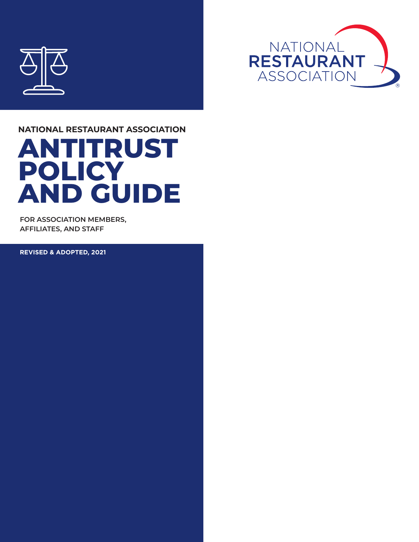



### **ANTITRUST POLICY AND GUIDE NATIONAL RESTAURANT ASSOCIATION**

**FOR ASSOCIATION MEMBERS, AFFILIATES, AND STAFF**

**REVISED & ADOPTED, 2021**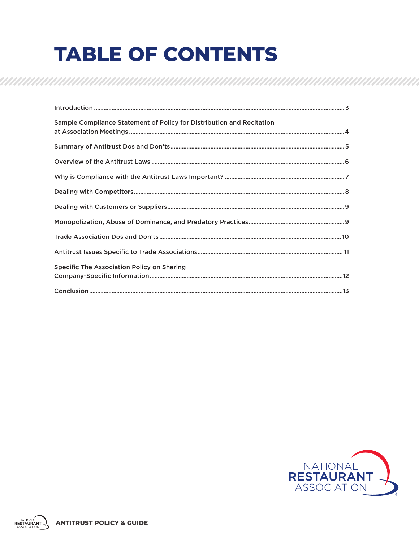# **TABLE OF CONTENTS**

| Sample Compliance Statement of Policy for Distribution and Recitation |
|-----------------------------------------------------------------------|
|                                                                       |
|                                                                       |
|                                                                       |
|                                                                       |
|                                                                       |
|                                                                       |
|                                                                       |
|                                                                       |
| <b>Specific The Association Policy on Sharing</b>                     |
|                                                                       |

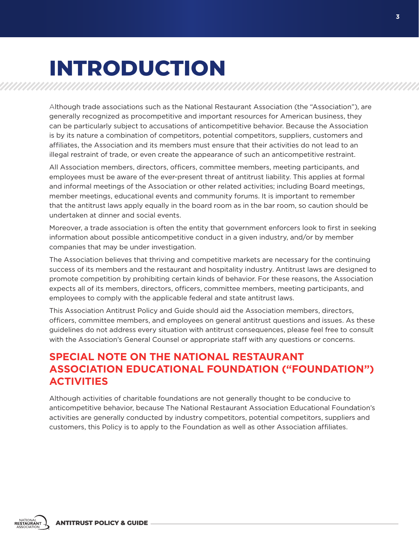# **INTRODUCTION**

Although trade associations such as the National Restaurant Association (the "Association"), are generally recognized as procompetitive and important resources for American business, they can be particularly subject to accusations of anticompetitive behavior. Because the Association is by its nature a combination of competitors, potential competitors, suppliers, customers and affiliates, the Association and its members must ensure that their activities do not lead to an illegal restraint of trade, or even create the appearance of such an anticompetitive restraint.

All Association members, directors, officers, committee members, meeting participants, and employees must be aware of the ever-present threat of antitrust liability. This applies at formal and informal meetings of the Association or other related activities; including Board meetings, member meetings, educational events and community forums. It is important to remember that the antitrust laws apply equally in the board room as in the bar room, so caution should be undertaken at dinner and social events.

Moreover, a trade association is often the entity that government enforcers look to first in seeking information about possible anticompetitive conduct in a given industry, and/or by member companies that may be under investigation.

The Association believes that thriving and competitive markets are necessary for the continuing success of its members and the restaurant and hospitality industry. Antitrust laws are designed to promote competition by prohibiting certain kinds of behavior. For these reasons, the Association expects all of its members, directors, officers, committee members, meeting participants, and employees to comply with the applicable federal and state antitrust laws.

This Association Antitrust Policy and Guide should aid the Association members, directors, officers, committee members, and employees on general antitrust questions and issues. As these guidelines do not address every situation with antitrust consequences, please feel free to consult with the Association's General Counsel or appropriate staff with any questions or concerns.

### **SPECIAL NOTE ON THE NATIONAL RESTAURANT ASSOCIATION EDUCATIONAL FOUNDATION ("FOUNDATION") ACTIVITIES**

Although activities of charitable foundations are not generally thought to be conducive to anticompetitive behavior, because The National Restaurant Association Educational Foundation's activities are generally conducted by industry competitors, potential competitors, suppliers and customers, this Policy is to apply to the Foundation as well as other Association affiliates.

**ANTITRUST POLICY & GUIDE**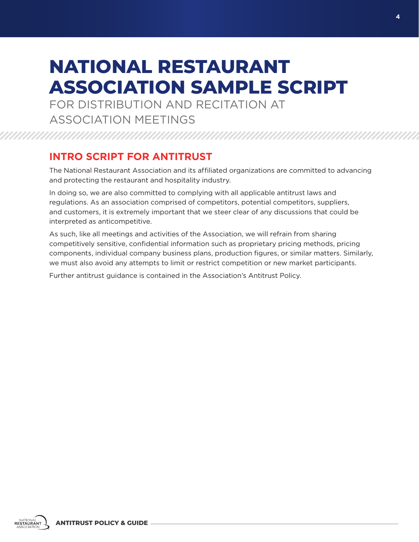### **NATIONAL RESTAURANT ASSOCIATION SAMPLE SCRIPT**

FOR DISTRIBUTION AND RECITATION AT ASSOCIATION MEETINGS

### **INTRO SCRIPT FOR ANTITRUST**

The National Restaurant Association and its affiliated organizations are committed to advancing and protecting the restaurant and hospitality industry.

In doing so, we are also committed to complying with all applicable antitrust laws and regulations. As an association comprised of competitors, potential competitors, suppliers, and customers, it is extremely important that we steer clear of any discussions that could be interpreted as anticompetitive.

As such, like all meetings and activities of the Association, we will refrain from sharing competitively sensitive, confidential information such as proprietary pricing methods, pricing components, individual company business plans, production figures, or similar matters. Similarly, we must also avoid any attempts to limit or restrict competition or new market participants.

Further antitrust guidance is contained in the Association's Antitrust Policy.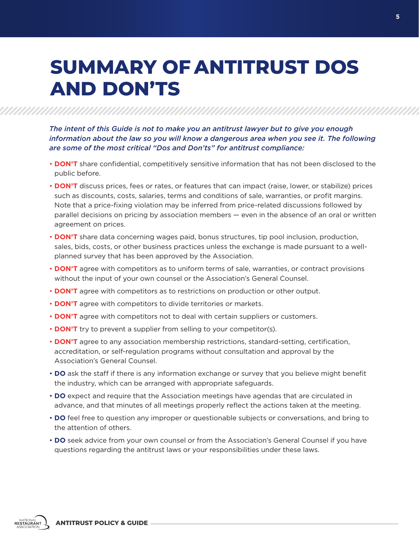### **SUMMARY OF ANTITRUST DOS AND DON'TS**

*The intent of this Guide is not to make you an antitrust lawyer but to give you enough information about the law so you will know a dangerous area when you see it. The following are some of the most critical "Dos and Don'ts" for antitrust compliance:*

- **DON'T** share confidential, competitively sensitive information that has not been disclosed to the public before.
- **DON'T** discuss prices, fees or rates, or features that can impact (raise, lower, or stabilize) prices such as discounts, costs, salaries, terms and conditions of sale, warranties, or profit margins. Note that a price-fixing violation may be inferred from price-related discussions followed by parallel decisions on pricing by association members — even in the absence of an oral or written agreement on prices.
- **DON'T** share data concerning wages paid, bonus structures, tip pool inclusion, production, sales, bids, costs, or other business practices unless the exchange is made pursuant to a wellplanned survey that has been approved by the Association.
- **DON'T** agree with competitors as to uniform terms of sale, warranties, or contract provisions without the input of your own counsel or the Association's General Counsel.
- **DON'T** agree with competitors as to restrictions on production or other output.
- **DON'T** agree with competitors to divide territories or markets.
- **DON'T** agree with competitors not to deal with certain suppliers or customers.
- **DON'T** try to prevent a supplier from selling to your competitor(s).
- **DON'T** agree to any association membership restrictions, standard-setting, certification, accreditation, or self-regulation programs without consultation and approval by the Association's General Counsel.
- **DO** ask the staff if there is any information exchange or survey that you believe might benefit the industry, which can be arranged with appropriate safeguards.
- **DO** expect and require that the Association meetings have agendas that are circulated in advance, and that minutes of all meetings properly reflect the actions taken at the meeting.
- **DO** feel free to question any improper or questionable subjects or conversations, and bring to the attention of others.
- **DO** seek advice from your own counsel or from the Association's General Counsel if you have questions regarding the antitrust laws or your responsibilities under these laws.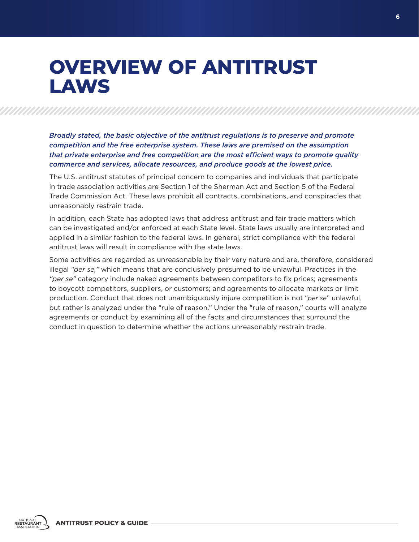### **OVERVIEW OF ANTITRUST LAWS**

*Broadly stated, the basic objective of the antitrust regulations is to preserve and promote competition and the free enterprise system. These laws are premised on the assumption that private enterprise and free competition are the most efficient ways to promote quality commerce and services, allocate resources, and produce goods at the lowest price.* 

The U.S. antitrust statutes of principal concern to companies and individuals that participate in trade association activities are Section 1 of the Sherman Act and Section 5 of the Federal Trade Commission Act. These laws prohibit all contracts, combinations, and conspiracies that unreasonably restrain trade.

In addition, each State has adopted laws that address antitrust and fair trade matters which can be investigated and/or enforced at each State level. State laws usually are interpreted and applied in a similar fashion to the federal laws. In general, strict compliance with the federal antitrust laws will result in compliance with the state laws.

Some activities are regarded as unreasonable by their very nature and are, therefore, considered illegal *"per se,"* which means that are conclusively presumed to be unlawful. Practices in the *"per se"* category include naked agreements between competitors to fix prices; agreements to boycott competitors, suppliers, or customers; and agreements to allocate markets or limit production. Conduct that does not unambiguously injure competition is not "*per se*" unlawful, but rather is analyzed under the "rule of reason." Under the "rule of reason," courts will analyze agreements or conduct by examining all of the facts and circumstances that surround the conduct in question to determine whether the actions unreasonably restrain trade.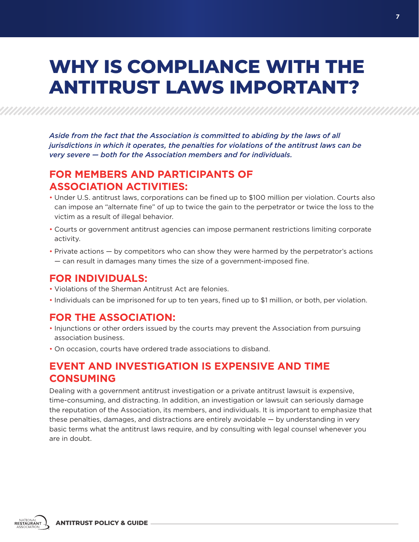### **WHY IS COMPLIANCE WITH THE ANTITRUST LAWS IMPORTANT?**

*Aside from the fact that the Association is committed to abiding by the laws of all jurisdictions in which it operates, the penalties for violations of the antitrust laws can be very severe — both for the Association members and for individuals.*

### **FOR MEMBERS AND PARTICIPANTS OF ASSOCIATION ACTIVITIES:**

- Under U.S. antitrust laws, corporations can be fined up to \$100 million per violation. Courts also can impose an "alternate fine" of up to twice the gain to the perpetrator or twice the loss to the victim as a result of illegal behavior.
- Courts or government antitrust agencies can impose permanent restrictions limiting corporate activity.
- Private actions by competitors who can show they were harmed by the perpetrator's actions — can result in damages many times the size of a government-imposed fine.

#### **FOR INDIVIDUALS:**

- Violations of the Sherman Antitrust Act are felonies.
- Individuals can be imprisoned for up to ten years, fined up to \$1 million, or both, per violation.

### **FOR THE ASSOCIATION:**

- Injunctions or other orders issued by the courts may prevent the Association from pursuing association business.
- On occasion, courts have ordered trade associations to disband.

### **EVENT AND INVESTIGATION IS EXPENSIVE AND TIME CONSUMING**

Dealing with a government antitrust investigation or a private antitrust lawsuit is expensive, time-consuming, and distracting. In addition, an investigation or lawsuit can seriously damage the reputation of the Association, its members, and individuals. It is important to emphasize that these penalties, damages, and distractions are entirely avoidable — by understanding in very basic terms what the antitrust laws require, and by consulting with legal counsel whenever you are in doubt.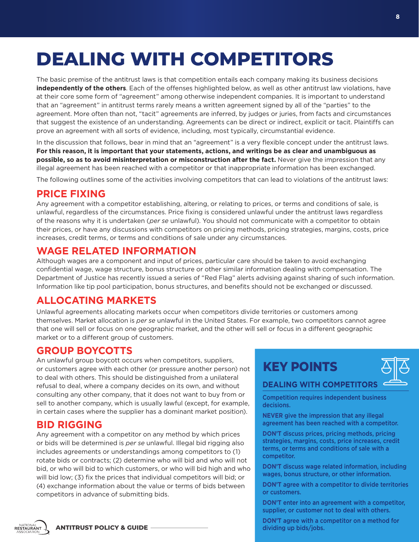# **DEALING WITH COMPETITORS**

The basic premise of the antitrust laws is that competition entails each company making its business decisions **independently of the others**. Each of the offenses highlighted below, as well as other antitrust law violations, have at their core some form of "agreement" among otherwise independent companies. It is important to understand that an "agreement" in antitrust terms rarely means a written agreement signed by all of the "parties" to the agreement. More often than not, "tacit" agreements are inferred, by judges or juries, from facts and circumstances that suggest the existence of an understanding. Agreements can be direct or indirect, explicit or tacit. Plaintiffs can prove an agreement with all sorts of evidence, including, most typically, circumstantial evidence.

In the discussion that follows, bear in mind that an "agreement" is a very flexible concept under the antitrust laws. **For this reason, it is important that your statements, actions, and writings be as clear and unambiguous as possible, so as to avoid misinterpretation or misconstruction after the fact.** Never give the impression that any illegal agreement has been reached with a competitor or that inappropriate information has been exchanged.

The following outlines some of the activities involving competitors that can lead to violations of the antitrust laws:

### **PRICE FIXING**

Any agreement with a competitor establishing, altering, or relating to prices, or terms and conditions of sale, is unlawful, regardless of the circumstances. Price fixing is considered unlawful under the antitrust laws regardless of the reasons why it is undertaken (*per se* unlawful). You should not communicate with a competitor to obtain their prices, or have any discussions with competitors on pricing methods, pricing strategies, margins, costs, price increases, credit terms, or terms and conditions of sale under any circumstances.

### **WAGE RELATED INFORMATION**

Although wages are a component and input of prices, particular care should be taken to avoid exchanging confidential wage, wage structure, bonus structure or other similar information dealing with compensation. The Department of Justice has recently issued a series of "Red Flag" alerts advising against sharing of such information. Information like tip pool participation, bonus structures, and benefits should not be exchanged or discussed.

### **ALLOCATING MARKETS**

Unlawful agreements allocating markets occur when competitors divide territories or customers among themselves. Market allocation is *per se* unlawful in the United States. For example, two competitors cannot agree that one will sell or focus on one geographic market, and the other will sell or focus in a different geographic market or to a different group of customers.

### **GROUP BOYCOTTS**

An unlawful group boycott occurs when competitors, suppliers, or customers agree with each other (or pressure another person) not to deal with others. This should be distinguished from a unilateral refusal to deal, where a company decides on its own, and without consulting any other company, that it does not want to buy from or sell to another company, which is usually lawful (except, for example, in certain cases where the supplier has a dominant market position).

### **BID RIGGING**

NATIONAL<br>RESTAURANT

Any agreement with a competitor on any method by which prices or bids will be determined is *per se* unlawful. Illegal bid rigging also includes agreements or understandings among competitors to (1) rotate bids or contracts; (2) determine who will bid and who will not bid, or who will bid to which customers, or who will bid high and who will bid low; (3) fix the prices that individual competitors will bid; or (4) exchange information about the value or terms of bids between competitors in advance of submitting bids.

### **KEY POINTS**



### **DEALING WITH COMPETITORS**

Competition requires independent business decisions.

**NEVER** give the impression that any illegal agreement has been reached with a competitor.

**DON'T** discuss prices, pricing methods, pricing strategies, margins, costs, price increases, credit terms, or terms and conditions of sale with a competitor.

**DON'T** discuss wage related information, including wages, bonus structure, or other information.

**DON'T** agree with a competitor to divide territories or customers.

**DON'T** enter into an agreement with a competitor, supplier, or customer not to deal with others.

**DON'T** agree with a competitor on a method for dividing up bids/jobs.

**ANTITRUST POLICY & GUIDE**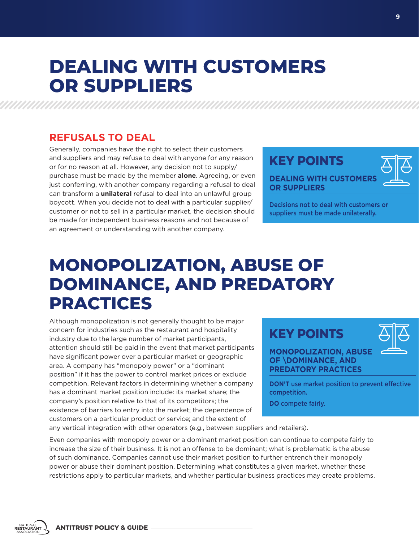### **DEALING WITH CUSTOMERS OR SUPPLIERS**

### **REFUSALS TO DEAL**

Generally, companies have the right to select their customers and suppliers and may refuse to deal with anyone for any reason or for no reason at all. However, any decision not to supply/ purchase must be made by the member **alone**. Agreeing, or even just conferring, with another company regarding a refusal to deal can transform a **unilateral** refusal to deal into an unlawful group boycott. When you decide not to deal with a particular supplier/ customer or not to sell in a particular market, the decision should be made for independent business reasons and not because of an agreement or understanding with another company.

### **KEY POINTS DEALING WITH CUSTOMERS OR SUPPLIERS**

Decisions not to deal with customers or suppliers must be made unilaterally.

### **MONOPOLIZATION, ABUSE OF DOMINANCE, AND PREDATORY PRACTICES**

Although monopolization is not generally thought to be major concern for industries such as the restaurant and hospitality industry due to the large number of market participants, attention should still be paid in the event that market participants have significant power over a particular market or geographic area. A company has "monopoly power" or a "dominant position" if it has the power to control market prices or exclude competition. Relevant factors in determining whether a company has a dominant market position include: its market share; the company's position relative to that of its competitors; the existence of barriers to entry into the market; the dependence of customers on a particular product or service; and the extent of

### **KEY POINTS**



**MONOPOLIZATION, ABUSE OF \DOMINANCE, AND PREDATORY PRACTICES**

**DON'T** use market position to prevent effective competition.

**DO** compete fairly.

any vertical integration with other operators (e.g., between suppliers and retailers).

Even companies with monopoly power or a dominant market position can continue to compete fairly to increase the size of their business. It is not an offense to be dominant; what is problematic is the abuse of such dominance. Companies cannot use their market position to further entrench their monopoly power or abuse their dominant position. Determining what constitutes a given market, whether these restrictions apply to particular markets, and whether particular business practices may create problems.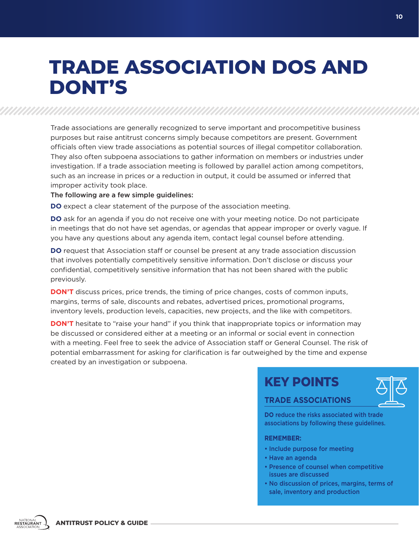### **TRADE ASSOCIATION DOS AND DONT'S**

Trade associations are generally recognized to serve important and procompetitive business purposes but raise antitrust concerns simply because competitors are present. Government officials often view trade associations as potential sources of illegal competitor collaboration. They also often subpoena associations to gather information on members or industries under investigation. If a trade association meeting is followed by parallel action among competitors, such as an increase in prices or a reduction in output, it could be assumed or inferred that improper activity took place.

#### The following are a few simple guidelines:

**DO** expect a clear statement of the purpose of the association meeting.

**DO** ask for an agenda if you do not receive one with your meeting notice. Do not participate in meetings that do not have set agendas, or agendas that appear improper or overly vague. If you have any questions about any agenda item, contact legal counsel before attending.

**DO** request that Association staff or counsel be present at any trade association discussion that involves potentially competitively sensitive information. Don't disclose or discuss your confidential, competitively sensitive information that has not been shared with the public previously.

**DON'T** discuss prices, price trends, the timing of price changes, costs of common inputs, margins, terms of sale, discounts and rebates, advertised prices, promotional programs, inventory levels, production levels, capacities, new projects, and the like with competitors.

**DON'T** hesitate to "raise your hand" if you think that inappropriate topics or information may be discussed or considered either at a meeting or an informal or social event in connection with a meeting. Feel free to seek the advice of Association staff or General Counsel. The risk of potential embarrassment for asking for clarification is far outweighed by the time and expense created by an investigation or subpoena.

### **KEY POINTS**



#### **TRADE ASSOCIATIONS**

**DO** reduce the risks associated with trade associations by following these guidelines.

#### **REMEMBER:**

- Include purpose for meeting
- Have an agenda
- Presence of counsel when competitive issues are discussed
- No discussion of prices, margins, terms of sale, inventory and production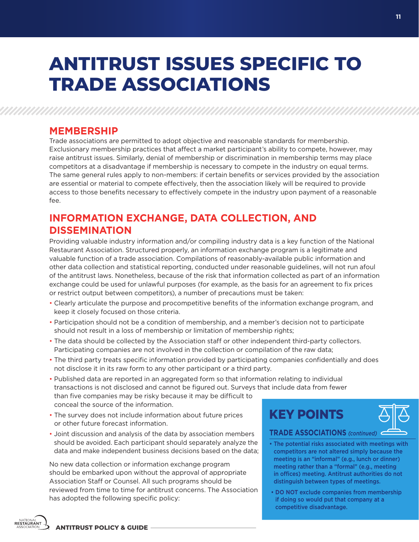## **ANTITRUST ISSUES SPECIFIC TO TRADE ASSOCIATIONS**

### **MEMBERSHIP**

Trade associations are permitted to adopt objective and reasonable standards for membership. Exclusionary membership practices that affect a market participant's ability to compete, however, may raise antitrust issues. Similarly, denial of membership or discrimination in membership terms may place competitors at a disadvantage if membership is necessary to compete in the industry on equal terms. The same general rules apply to non-members: if certain benefits or services provided by the association are essential or material to compete effectively, then the association likely will be required to provide access to those benefits necessary to effectively compete in the industry upon payment of a reasonable fee.

### **INFORMATION EXCHANGE, DATA COLLECTION, AND DISSEMINATION**

Providing valuable industry information and/or compiling industry data is a key function of the National Restaurant Association. Structured properly, an information exchange program is a legitimate and valuable function of a trade association. Compilations of reasonably-available public information and other data collection and statistical reporting, conducted under reasonable guidelines, will not run afoul of the antitrust laws. Nonetheless, because of the risk that information collected as part of an information exchange could be used for unlawful purposes (for example, as the basis for an agreement to fix prices or restrict output between competitors), a number of precautions must be taken:

- Clearly articulate the purpose and procompetitive benefits of the information exchange program, and keep it closely focused on those criteria.
- Participation should not be a condition of membership, and a member's decision not to participate should not result in a loss of membership or limitation of membership rights;
- The data should be collected by the Association staff or other independent third-party collectors. Participating companies are not involved in the collection or compilation of the raw data;
- The third party treats specific information provided by participating companies confidentially and does not disclose it in its raw form to any other participant or a third party.
- Published data are reported in an aggregated form so that information relating to individual transactions is not disclosed and cannot be figured out. Surveys that include data from fewer than five companies may be risky because it may be difficult to conceal the source of the information.
- The survey does not include information about future prices or other future forecast information.
- Joint discussion and analysis of the data by association members should be avoided. Each participant should separately analyze the data and make independent business decisions based on the data;

No new data collection or information exchange program should be embarked upon without the approval of appropriate Association Staff or Counsel. All such programs should be reviewed from time to time for antitrust concerns. The Association has adopted the following specific policy:

**KEY POINTS**

**TRADE ASSOCIATIONS** *(continued)*

- The potential risks associated with meetings with competitors are not altered simply because the meeting is an "informal" (e.g., lunch or dinner) meeting rather than a "formal" (e.g., meeting in offices) meeting. Antitrust authorities do not distinguish between types of meetings.
- **DO NOT** exclude companies from membership if doing so would put that company at a competitive disadvantage.

**11**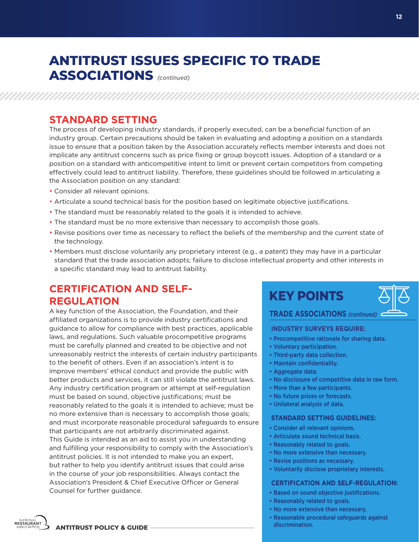### **ANTITRUST ISSUES SPECIFIC TO TRADE**

**ASSOCIATIONS** *(continued)*

### **STANDARD SETTING**

The process of developing industry standards, if properly executed, can be a beneficial function of an industry group. Certain precautions should be taken in evaluating and adopting a position on a standards issue to ensure that a position taken by the Association accurately reflects member interests and does not implicate any antitrust concerns such as price fixing or group boycott issues. Adoption of a standard or a position on a standard with anticompetitive intent to limit or prevent certain competitors from competing effectively could lead to antitrust liability. Therefore, these guidelines should be followed in articulating a the Association position on any standard:

- Consider all relevant opinions.
- Articulate a sound technical basis for the position based on legitimate objective justifications.
- The standard must be reasonably related to the goals it is intended to achieve.
- The standard must be no more extensive than necessary to accomplish those goals.
- Revise positions over time as necessary to reflect the beliefs of the membership and the current state of the technology.
- Members must disclose voluntarily any proprietary interest (e.g., a patent) they may have in a particular standard that the trade association adopts; failure to disclose intellectual property and other interests in a specific standard may lead to antitrust liability.

### **CERTIFICATION AND SELF-REGULATION**

A key function of the Association, the Foundation, and their affiliated organizations is to provide industry certifications and guidance to allow for compliance with best practices, applicable laws, and regulations. Such valuable procompetitive programs must be carefully planned and created to be objective and not unreasonably restrict the interests of certain industry participants to the benefit of others. Even if an association's intent is to improve members' ethical conduct and provide the public with better products and services, it can still violate the antitrust laws. Any industry certification program or attempt at self-regulation must be based on sound, objective justifications; must be reasonably related to the goals it is intended to achieve; must be no more extensive than is necessary to accomplish those goals; and must incorporate reasonable procedural safeguards to ensure that participants are not arbitrarily discriminated against. This Guide is intended as an aid to assist you in understanding and fulfilling your responsibility to comply with the Association's antitrust policies. It is not intended to make you an expert, but rather to help you identify antitrust issues that could arise in the course of your job responsibilities. Always contact the Association's President & Chief Executive Officer or General Counsel for further guidance.





#### **TRADE ASSOCIATIONS** *(continued)*

#### **INDUSTRY SURVEYS REQUIRE:**

- Procompetitive rationale for sharing data.
- Voluntary participation.
- Third-party data collection.
- Maintain confidentiality.
- Aggregate data.
- No disclosure of competitive data in raw form.
- More than a few participants.
- No future prices or forecasts.
- Unilateral analysis of data.

#### **STANDARD SETTING GUIDELINES:**

- Consider all relevant opinions.
- Articulate sound technical basis.
- Reasonably related to goals.
- No more extensive than necessary.
- Revise positions as necessary.
- Voluntarily disclose proprietary interests.

#### **CERTIFICATION AND SELF-REGULATION:**

- Based on sound objective justifications.
- Reasonably related to goals.
- No more extensive than necessary.
- Reasonable procedural safeguards against